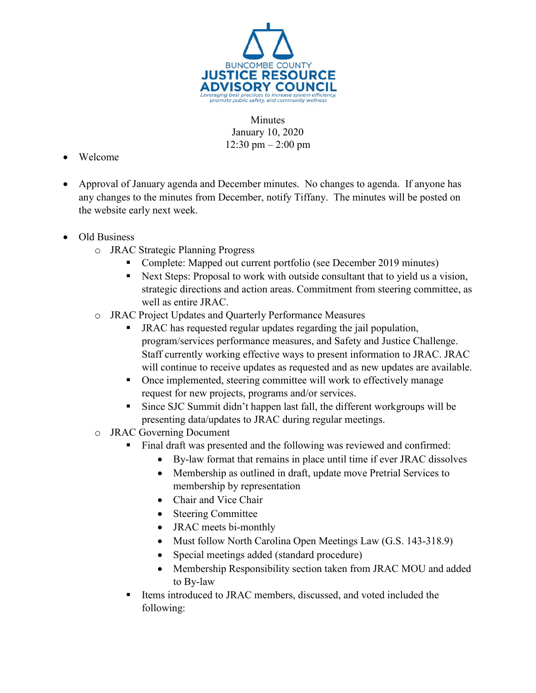

**Minutes** January 10, 2020 12:30 pm – 2:00 pm

- Welcome
- Approval of January agenda and December minutes. No changes to agenda. If anyone has any changes to the minutes from December, notify Tiffany. The minutes will be posted on the website early next week.
- Old Business
	- o JRAC Strategic Planning Progress
		- Complete: Mapped out current portfolio (see December 2019 minutes)
		- Next Steps: Proposal to work with outside consultant that to yield us a vision, strategic directions and action areas. Commitment from steering committee, as well as entire JRAC.
	- o JRAC Project Updates and Quarterly Performance Measures
		- JRAC has requested regular updates regarding the jail population, program/services performance measures, and Safety and Justice Challenge. Staff currently working effective ways to present information to JRAC. JRAC will continue to receive updates as requested and as new updates are available.
		- Once implemented, steering committee will work to effectively manage request for new projects, programs and/or services.
		- Since SJC Summit didn't happen last fall, the different workgroups will be presenting data/updates to JRAC during regular meetings.
	- o JRAC Governing Document
		- Final draft was presented and the following was reviewed and confirmed:
			- By-law format that remains in place until time if ever JRAC dissolves
			- Membership as outlined in draft, update move Pretrial Services to membership by representation
			- Chair and Vice Chair
			- Steering Committee
			- **JRAC** meets bi-monthly
			- Must follow North Carolina Open Meetings Law (G.S. 143-318.9)
			- Special meetings added (standard procedure)
			- Membership Responsibility section taken from JRAC MOU and added to By-law
		- Items introduced to JRAC members, discussed, and voted included the following: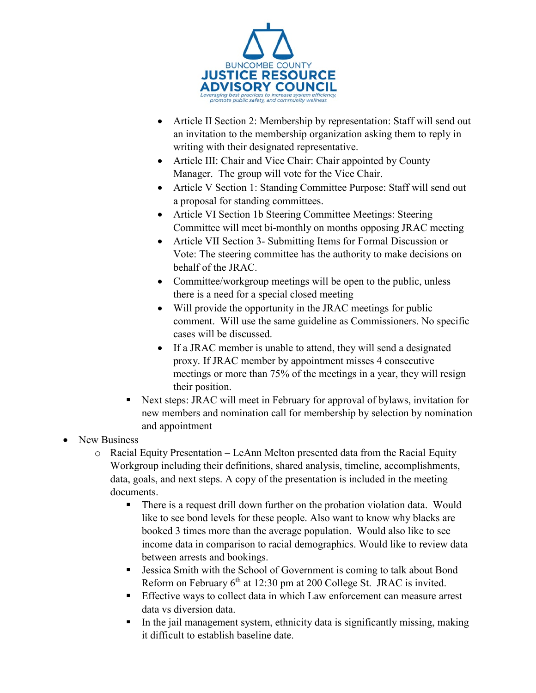

- Article II Section 2: Membership by representation: Staff will send out an invitation to the membership organization asking them to reply in writing with their designated representative.
- Article III: Chair and Vice Chair: Chair appointed by County Manager. The group will vote for the Vice Chair.
- Article V Section 1: Standing Committee Purpose: Staff will send out a proposal for standing committees.
- Article VI Section 1b Steering Committee Meetings: Steering Committee will meet bi-monthly on months opposing JRAC meeting
- Article VII Section 3- Submitting Items for Formal Discussion or Vote: The steering committee has the authority to make decisions on behalf of the JRAC.
- Committee/workgroup meetings will be open to the public, unless there is a need for a special closed meeting
- Will provide the opportunity in the JRAC meetings for public comment. Will use the same guideline as Commissioners. No specific cases will be discussed.
- If a JRAC member is unable to attend, they will send a designated proxy. If JRAC member by appointment misses 4 consecutive meetings or more than 75% of the meetings in a year, they will resign their position.
- Next steps: JRAC will meet in February for approval of bylaws, invitation for new members and nomination call for membership by selection by nomination and appointment
- New Business
	- o Racial Equity Presentation LeAnn Melton presented data from the Racial Equity Workgroup including their definitions, shared analysis, timeline, accomplishments, data, goals, and next steps. A copy of the presentation is included in the meeting documents.
		- There is a request drill down further on the probation violation data. Would like to see bond levels for these people. Also want to know why blacks are booked 3 times more than the average population. Would also like to see income data in comparison to racial demographics. Would like to review data between arrests and bookings.
		- Jessica Smith with the School of Government is coming to talk about Bond Reform on February  $6<sup>th</sup>$  at 12:30 pm at 200 College St. JRAC is invited.
		- Effective ways to collect data in which Law enforcement can measure arrest data vs diversion data.
		- In the jail management system, ethnicity data is significantly missing, making it difficult to establish baseline date.